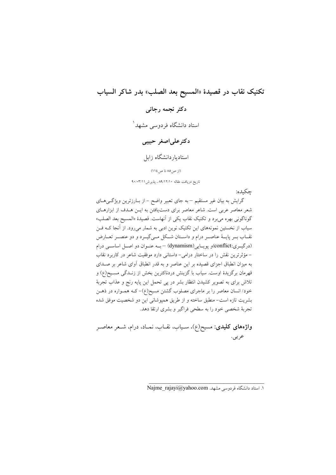# تكنيك نقاب در قصيدة «المسيح بعد الصلب» بدر شاكر السياب

دكتر نجمه رجائي

استاد دانشگاه فردوسی مشهد<sup>ا</sup>

## دکترعلی اصغر حبیبی

استادياردانشگاه زابل

(از ص ۸۵ تا ص ۱۱٤)

تاریخ دریافت مقاله ۸۹/۱۲/۱۰، پذیرش ۹۰/۰۳/۱۱

حكىدە:

گرایش به بیان غیر مستقیم –به جای تعبیر واضح – از بـارزترین ویژگـی۱صای شعر معاصر عربی است. شاعر معاصر برای دستیافتن به ایـن هـدف از ابزارهـای گوناگونی بهره میبرد و تکنیک نقاب یکی از آنهاست. قصیدهٔ «المسیح بعد الصلب» سیاب از نخستین نمونههای این تکنیک نوین ادبی به شمار میرود. از آنجا کـه فـن نقــاب بــر پايـــهٔ عناصــر درام و داســتان شــكل مــیگیــرد و دو عنصــر تعــارض (درگیری:conflict)و یوپایی (dynamism) – بسه عنبوان دو اصل اساسی درام – مؤثرترین نقش را در ساختار درامی- داستانی دارد موفقیت شاعر در کاربرد نقاب به میزان انطباق اجزای قصیده بر این عناصر و به قدر انطباق آوای شاعر بر صـدای قهرمان برگزیدهٔ اوست. سیاب با گزینش دردناکترین بخش از زنــدگی مســیح(ع) و تلاش برای به تصویر کشیدن انتظار بشر در پی تحمل این پایه رنج و عذاب تجربهٔ خود/ انسان معاصر را بر ماجرای مصلوب گشتن مسیح(ع)–کـه همـواره در ذهـن بشريت تازه است-منطبق ساخته و از طريق همپوشاني اين دو شخصيت موفق شده تجربهٔ شخصی خود را به سطحی فراگیر و بشری ارتقا دهد.

واژههای کلیدی: مسیح(ع)، سـیاب، نقـاب، نمـاد، درام، شـعر معاصـر عربى.

Najme rajayi@yahoo.com .. استاد دانشگاه فردوسی مشهد.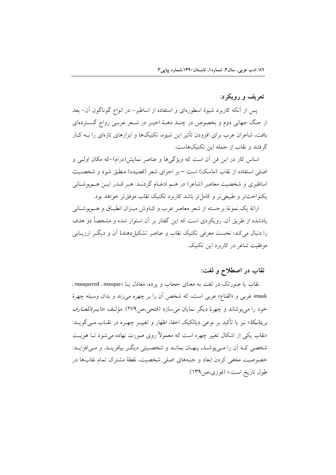## تعریف و رویکرد:

پس از آنکه کاربرد شیوهٔ اسطورهای و استفاده از اساطیر– در انواع گوناگون آن– بعد از جنگ جهانی دوم و بخصوص در چنـد دهـهٔ اخیـر در شـعر عربـی رواج گسـتردهای یافت، شاعران عرب برای افزودن تأثیر این شیوه، تکنیکها و ابزارهای تازهای را بــه کــار گرفتند و نقاب از جمله این تکنیکهاست.

اساس کار در این فن آن است که ویژگیها و عناصر نمایش(درام)–که مکان اولـی و اصلی استفاده از نقاب (ماسک) است – بر اجزای شعر (قصیده) منطبق شود و شخصیت اساطیری و شخصیت معاصر (شاعر) در هـم ادغـام گردنـد. هـر قـدر ایــن هــمپوشــانی يکنواختتر و طبيعي تر و کامل تر باشد کاربرد تکنيک نقاب موفق تر خواهد بود.

ارائهٔ یک نمونهٔ برجسته از شعر معاصر عرب و کـاوش میـزان انطبـاق و هــم،یوشــانی یادشده از طریق آن، رویکردی است که این گفتار بر آن استوار شده و مشخصاً دو هدف را دنبال می کند: نخست معرفی تکنیک نقاب و عناصر تشکیل دهندهٔ اَن و دیگ ِ ارزیبابی موفقت شاعر در کاربرد این تکنیک.

# نقاب در اصطلاح و لغت:

نقاب یا صورتک در لغت به معنای حجاب و یرده، معادل بــا «masquered , masque , mask» غربی و «القناع» عربی است، که شخص آن را بر چهره میزند و بدان وسیله چهرهٔ خود را مي پوشاند و چهرهٔ ديگر نمايان مي سازد (فتحي،ص٢٧٩). مؤلف «*دايـرةالمعـارف* بری*تانیکا*» نیز با تأکید بر نوعی دیالکیک اخفا، اظهار و تغییـر چهـره در نقــاب مــی گویــد: «نقاب یکی از اشکال تغییر چهره است که معمولاً روی صورت نهاده می شود تـا هویـت شخصی کـه اّن را مـی پوشـد، پنهـان بمانـد و شخصـیتی دیگـر بیافرینـد. و مـی|فزایـد: خصوصیت مخفی کردن ابعاد و جنبههای اصلی شخصیت، نقطهٔ مشترک تمام نقابها در طول تاريخ است.» (فوزي،ص1۳۹).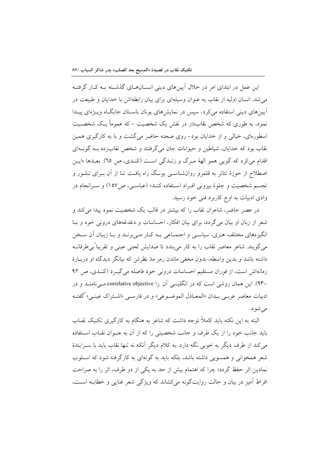این عمل در ابتدای امر در خلال آیینهای دینی انسـانهـای گذشـته بـه کـار گرفتـه می شد. انسان اولیه از نقاب به عنوان وسیلهای برای بیان رابطهاش با خدایان و طبیعت در آیینهای دینی استفاده می کرد. سیس در نمایش های یونان باسـتان جایگـاه ویـژهای پیـدا نمود، به طوری که شخص نقابدار در نقش یک شخصیت – که عموماً یـک شخصـیت اسطورهای، خیالی و از خدایان بود– روی صحنه حاضر می گشت و با به کارگیری همین نقاب بود که خدایان، شیاطین و حیوانات جان می گرفتند و شخص نقابزده بـه گونــهای اقدام مي كرد كه گويبي همو الههٔ مـرگ و زنــدگي اسـت (كنــدي، ص ٦٥). بعــدها «ايــن اصطلاح از حوزهٔ تئاتر به قلمرو روانشناسـی پونـگ راه یافـت تـا از آن بــرای تبلــور و تجسم شخصیت و جلوهٔ بیرونی افـراد اسـتفاده کنــد» (عباســی، ص١٥٧) و ســرانجام در وادي ادبيات به اوج كاربرد فني خود رسيد.

در عصر حاضر، شاعران نقاب را كه بیشتر در قالب یک شخصیت نمود پیدا می كند و شعر از زبان او بیان میگردد، برای بیان افکار، احساسات و دغدغههای درونی خود و بـا انگیزههای مختلف هنری، سیاسبی و اجتمـاعی بـه کـار مـیبرنــد و بــا زبــان آن ســخن می گویند. شاعر معاصر نقاب را به کار میبندد تا صدایش لحنی عینی و تقریباً بی طرفانــه داشته باشد و بدین واسطه، بدون مخفی ماندن رمز مدّ نظرش که بیانگر دیدگاه او دربارهٔ زمانهاش است، از فوران مستقیم احساسات درونی خود فاصله می گیرد (کنـدی، ص ۹۲ –۹۳). این همان روشی است که در انگلیسی آن را correlative objective مــیiامنــد و در ادبيات معاصر عربــي بــدان «المعــادل الموضــوعي» و در فارســي «اشــتراک عينــي» كفتــه می شو د.

البته به این نکته باید کاملاً توجه داشت که شاعر به هنگام به کارگیری تکنیک نقــاب باید جانب خود را از یک طرف و جانب شخصیتی را که از آن به عنــوان نقــاب اســتفاده مي كند از طرف ديگر به خوبي نگه دارد. به كلام ديگر آنكه نه تنها نقاب بايد با سـرايندهٔ شعر همخوانی و همسویی داشته باشد، بلکه باید به گونهای به کارگرفته شود که اسـلوب نمادین اثر حفظ گردد؛ چرا که اهتمام بیش از حد به یکی از دو طرف، اثر را به صراحت افراط آميز در بيان و حالت روايتگونه مي كشاند كه ويژگي شعر غنايي و خطابـه اسـت،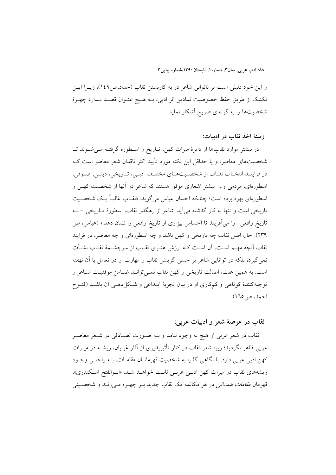و این خود دلیلی است بر ناتوانی شاعر در به کاربستن نقاب (حداد،ص۱٤۹)؛ زیــرا ایــن تكنيك از طريق حفظ خصوصيت نمادين اثر ادبي، بـه هـيچ عنـوان قصـد نـدارد چهـرهٔ شخصیتها را به گونهای صریح آشکار نماید.

### زمينهٔ اخذ نقاب در اديبات:

در بیشتر موارد نقابها از دایرهٔ میراث کهن، تـاریخ و اسـطوره گرفتـه مـیشـوند تـا شخصیتهای معاصر، و یا حداقل این نکته مورد تأیید اکثر ناقدان شعر معاصر است ک در فراينـد انتخـاب نقـاب از شخصـيتهـاي مختلـف ادبـي، تـاريخي، دينـي، صـوفي، اسطورهای، مردمی و… بیشتر اشعاری موفق هستند که شاعر در آنها از شخصیت کهـن و اسطورهای بهره برده است؛ چنانکه احسان عباس میگوید: «نقـاب غالبـاً یـک شخصـیت تاریخی است و تنها به کار گذشته می آید. شاعر از رهگذر نقاب، اسطورهٔ تــاریخی – نــه تاریخ واقعی- را می آفریند تا احساس بیزاری از تاریخ واقعی را نشان دهد.» (عباس، ص ٢٣٩). حال اصل نقاب چه تاريخي و كهن باشد و چه اسطورهاي و چه معاصر، در فرايند نقاب آنچه مهـم اسـت، آن اسـت كـه ارزش هنـرى نقـاب از سرچشـمهٔ نقـاب نشـأت نمی گیرد، بلکه در توانایی شاعر بر حسن گزینش نقاب و مهارت او در تعامل با آن نهفته است. به همين علت، اصالت تاريخي و كهن نقاب نمـي توانـد ضـامن موفقيـت شـاعر و توجیهکنندهٔ کوتاهی و کمکاری او در بیان تجربهٔ ابـداعی و شـکل(هـی آن باشـد (فتـوح احمد، ص10).

### نقاب در عرصهٔ شعر و ادبیات عربی:

نقاب در شعر عربی از هیچ به وجود نیامد و بـه صـورت تصـادفی در شـعر معاصـر عربی ظاهر نگردید؛ زیرا شعر نقاب در کنار تأثیرپذیری از آثار غربیان، ریشــه در میــراث کهن ادبی عربی دارد. با نگاهی گذرا به شخصیت قهرمانـان مقامـات، بـه راحتـی وجـود ریشههای نقاب در میراث کهن ادبسی عربسی ثابت خواهـد شـد. «ابـوالفتح اسـکندری»، قهرمان *مقامات همدانی* در هر مکالمه یک نقاب جدید بـر چهـره مـی;زنـد و شخصــیتی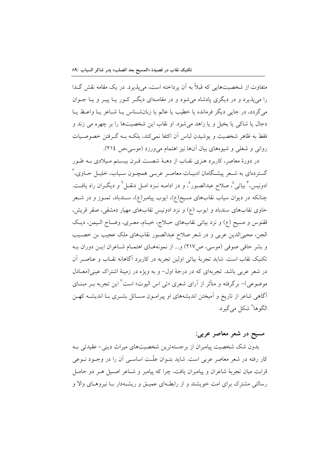متفاوت از شخصیتهایی که قبلاً به آن یرداخته است، می پذیرد. در یک مقامه نقش گـدا را می پذیرد و در دیگری پادشاه می شود و در مقامـهای دیگـر کـور یـا پیـر و یـا جـوان مي گردد، در جايي ديگر فرمانده يا خطيب يا عالم يا زبانشـناس يـا شـاعر يـا واعـظ يـا دجال يا شاكي يا بخيل و يا زاهد مي شود. او نقاب اين شخصيتها را بر چهره مي زند و فقط به ظاهر شخصيت و يوشيدن لباس أن اكتفا نمي كند، بلكــه بــه گــرفتن خصوصـيات روانی و شغلی و شیوههای بیان آنها نیز اهتمام می ورزد (موسی،ص ٢١٤).

در دورهٔ معاصر، کاربرد هنری نقـاب از دهــهٔ شصــت قــرن بیســتم مـیلادی بــه طــور گستردهای به شـعر پیشـگامان ادبیـات معاصـر عربـی همچـون سـیاب، خلیـل حــاوی، ` ادونيس، ٌ بياتي ُ، صلاح عبدالصبور ْ، و در ادامــه نــزد امــل دنقــل ْ و ديگــران راه يافــت. چنانکه در دیوان سیاب نقابهای مسیح(ع)، ایوب پیامبر(ع)، سـندباد، تمـوز و در شــعر حاوی نقابهای سندباد و ایوب (ع) و نزد ادونیس نقابهای مهیار دمشقی، صقر قریش، ققنوس و مسيح (ع) و نزد بياتي نقابهاي حـلاج، خيـام، معـري، وضـاح الـيمن، ديـك الجن، محییالدین عربی و در شعر صلاح عبدالصبور نقابهای ملک عجیب بن خصـیب و بشر حافي صوفي (موسى، ص٢١٧) و... از نمونههاي اهتمـام شـاعران ايـن دوران بـه تکنیک نقاب است. شاید تجربهٔ بیاتی اولین تجربه در کاربرد آگاهانه نقـاب و عناصـر آن در شعر عربی باشد. تجربهای که در درجهٔ اول- و به ویژه در زمینهٔ اشتراک عینی(معـادل موضوعي)- برگرفته و متأثر از آراي شعري «تي اس اليوت» است<sup>٧</sup> اين تجربه بــر مبنــاي آگاهی شاعر از تاریخ و آمیختن اندیشههای او پیرامـون مسـائل بشـری بـا اندیشـه کهـن الگوها<sup>^</sup> شکل می گیرد.

### مسیح در شعر معاصر عربی:

بدون شک شخصیت پیامبران از برجستهترین شخصیتهای میراث دینی- عقیدتی بـه کار رفته در شعر معاصر عربی است. شاید بتــوان علّــت اساســی آن را در وجــود نــوعی قرابت ميان تجربهٔ شاعران و پيامبران يافت، چرا كه پيامبر و شــاعر اصــيل هــر دو حامــل رسالتی مشترک برای امت خویشند و از رابطـهای عمیـق و ریشــهدار بــا نیروهــای والا و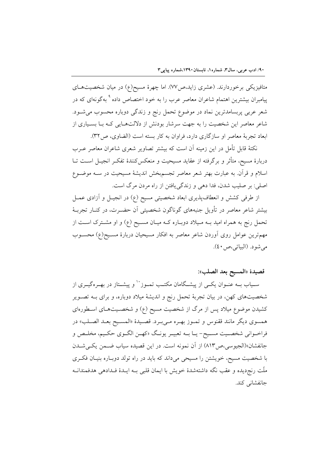متافیزیکی برخوردارند. (عشری زاید،ص۷۷). اما چهرهٔ مسیح(ع) در میان شخصیتهـای پیامبران بیشترین اهتمام شاعران معاصر عرب را به خود اختصاص داده <sup>۹</sup> بهگونهای که در شعر عربی پربسامدترین نماد در موضوع تحمل رنج و زندگی دوباره محسوب میشود. شاعر معاصر این شخصیت را به جهت سرشار بودنش از دلالتهایی کـه بـا بسـیاری از ابعاد تجربهٔ معاصر او سازگاری دارد، فراوان به کار بسته است (الضاوی، ص۳۲).

نکتهٔ قابل تأمل در این زمینه آن است که بیشتر تصاویر شعری شاعران معاصر عــرب دربارهٔ مسیح، متأثر و برگرفته از عقاید مسیحیت و منعکسکنندهٔ تفکـر انجیـل اســت تــا اسلام و قرآن. به عبارت بهتر شعر معاصر تجسمبخش اندیشهٔ مسیحیت در ســه موضــوع اصلي: بر صليب شدن، فدا دهي و زندگي يافتن از راه مردن مرگ است.

از طرفی کشش و انعطافپذیری ابعاد شخصیتی مسیح (ع) در انجیـل و آزادی عمـل بیشتر شاعر معاصر در تأویل جنبههای گوناگون شخصیتی آن حضـرت، در کنـار تجربــهٔ تحمل رنج به همراه امید بــه مـیلاد دوبــاره کــه میــان مســیح (ع) و او مشــترک اســت از مهمترین عوامل روی اَوردن شاعر معاصر به افکار مسیحیان دربارهٔ مسـیح(ع) محسـوب مي شو د. (البياتي،ص ٤٠).

## قصيدة «المسيح بعد الصلب»:

سـياب بــه عنــوان يكــي از پيشــگامان مكتــب تمــوز`` و پيشــتاز در بهــرهگيــري از شخصیتهای کهن، در بیان تجربهٔ تحمل رنج و اندیشهٔ میلاد دوباره، و برای بـه تصـویر کشیدن موضوع میلاد پس از مرگ از شخصیت مسیح (ع) و شخصـیتهـای اسـطورهای همسوي ديگر مانند ققنوس و تمـوز بهـره مـيبـرد. قصـيدهٔ «المسـيح بعـد الصـلب» در فراخــواني شخصــيت مســيح- يــا بــه تعبيــر يونــگ «کهــن الگــوي حکــيم، مخلــص و جانفشان»(الجیوسی،ص۱۳) از آن نمونه است. در این قصیده سیاب ضمن یکهیشدن با شخصیت مسیح، خویشتن را مسیحی میداند که باید در راه تولد دوبـاره بنیـان فکـری ملَّت رنج دیده و عقب نگه داشتهشدهٔ خویش با ایمان قلبی بـه ایـدهٔ فـدادهی هدفمندانـه جانفشاني كند.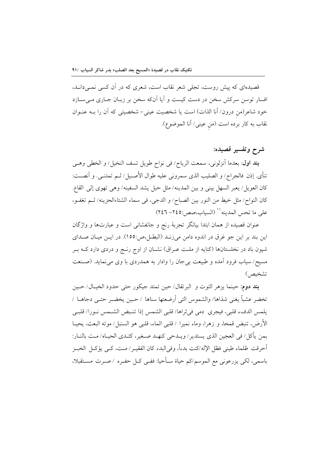قصیدهای که پیش روست، تجلّی شعر نقاب است، شعری که در آن کسی نمـی(دانـد، افسار توسن سرکش سخن در دست کیست و آیا آنکه سخن بر زبـان جـاری مـیسـازد خود شاعر(من درون/ أنا الذات) است يا شخصيت عيني- شخصيتي كه آن را بــه عنــوان نقاب به كار برده است (من عيني/ أنا الموضوع).

## شرح وتفسير قصيده:

**بند اول**: بعدما أنزلوني، سمعت الرياح/ في نواح طويل تسف النخيل/ و الخطي وهـي تنأى. إذن فالجراح/ و الصليب الذي سمروني عليه طوال الأصـيل/ لـم تمتنـي. و أنصـت: كان العويل/ يعبر السهل بيني و بين المدينه/ مثل حبل يشد السفينه/ وهي تهوى إلى القاع. كان النواح/ مثل خيط من النور بين الصباح/ و الدجي، في سماء الشتاءالحزينه/ ثـم تغفـو، على ما تحس المدينه'' (السياب،صص:٢٤٥- ٢٤٦)

عنوان قصیده از همان ابتدا بیانگر تجربهٔ رنج و جانفشانی است و عبارتها و واژگان این بند بر این جو غرق در اندوه دامن میزنـد (البطـل،ص:١٥٥). در ایـن میـان صـدای شیون باد در نخلستانها (کنایه از ملـت عـراق) نشــان از اوج رنــج و دردی دارد کــه بــر مسیح/ سیاب فرود آمده و طبیعت بی جان را وادار به همدردی با وی می نماید. (صـنعت تشخيص)

بند دوم: حينما يزهر التوت و البرتقال/ حين تمتد جيكور حتى حدود الخيـال/ حـين تخضر عشباً يغني شذاها/ والشموس التي أرضعتها سناها / حـين يخضـر حتـي دجاهــا / يلمس الدفء قلبي، فيجري دمي في ثراها/ قلبي الشمس إذا تنبض الشـمس نـورا/ قلبـي الأرض، تنبض قمحاً، و زهراً، وماء نميراً / قلبي الماء، قلبي هو السنبل/ موته البعث، يحيــا بمن يأكل/ في العجين الذي يستدير/ ويــدحى كنهــد صــغير، كثــدى الحيــاه/ مــت بالنــار: أحرقت ظلماء طيني فظل الإله/كنت بدءاً، وفي|لبدء كان الفقيــر/ مــت، كــي يؤكــل الخبــز باسمي، لكي يزرعوني مع الموسم/كم حياة سـأحيا: ففـي كـل حفـره /صـرت مسـتقبلا،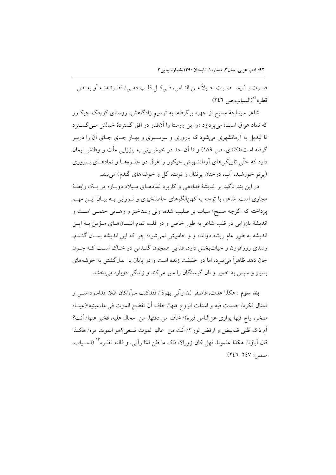صرت بـذره، حسرت جـيلاً مـن النـاس، فـي كـل قلـب دمـي/ قطـرة منـه أو بعـض قطره"(السياب،ص ٢٤٦)

شاعر سیماچهٔ مسیح از چهره برگرفته، به ترسیم زادگاهش، روستای کوچک جیکـور که نماد عراق است؛ می پر دازد «و این روستا را آنقدر در افق گستردهٔ خیالش م*ی گست*رد تا تبدیل به آرمانشهری می شود که باروری و سرسبزی و بهـار جـای جـای آن را دربـر گرفته است»(کندی، ص ۱۸۹) و تا اَن حد در خوش بینی به باززایی ملّت و وطنش ایمان دارد که حتّی تاریکیهای اَرمانشهرش جیکور را غرق در جلـوههـا و نمادهـای بـاروری (پرتو خورشید، آب، درختان پرتقال و توت، گل و خوشههای گندم) می بیند.

در این بند تأکید بر اندیشهٔ فدادهی و کاربرد نمادهـای مـیلاد دوبـاره در یـک رابطـهٔ مجازی است. شاعر، با توجه به کهنالگوهای حاصلخیزی و نـوزایی بـه بیـان ایــن مهــم پرداخته که اگرچه مسیح/ سیاب بر صلیب شده، ولی رستاخیز و رهـایی حتمـی اسـت و اندیشهٔ باززایی در قلب شاعر به طور خاص و در قلب تمام انســانهــای مــؤمن بــه ایــن اندیشه به طور عام ریشه دوانده و و خاموش نمیشود؛ چرا که این اندیشه بســان گنــدم، رشدی روزافزون و حیاتبخش دارد. فدایی همچون گنـدمی در خـاک اسـت کـه چـون جان دهد ظاهراً می میرد، اما در حقیقت زنده است و در پایان با بدلگشتن به خوشههای بسیار و سپس به خمیر و نان گرسنگان را سپر می کند و زندگی دوباره می بخشد.

بند سوم : هكذا عدت، فاصفر لمّا رأني يهوذا/ فقدكنت سرّه/كان ظلا، قداسود منــي و تمثال فكره/ جمدت فيه و استلت الروح منها/ خاف أن تفضح الموت في ماءعينيه/(عينــاه صخره راح فيها يواري عن|لناس قبره)/ خاف من دفئها، من ۖ محال عليه، فخبر عنها/ أنت؟ أم ذاك ظلى قدابيض و ارفض نورا؟/ أنت من عالم الموت تسعى؟هو الموت مره/ هكـذا قال اّباؤنا، هكذا علمونا، فهل كان زورا؟/ ذاك ما ظن لمّا راّني، و قالته نظـره"` (السـياب،  $(Y \& T - Y \& V :$ صصر)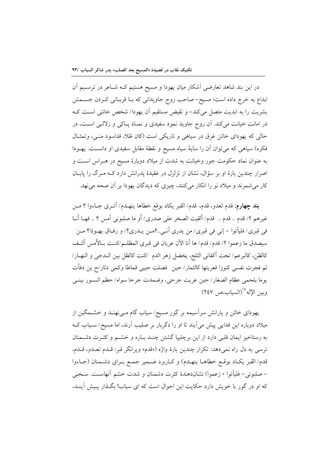در این بند شاهد تعارضی آشکار میان یهودا و مسیح هستیم کـه شـاعر در ترسـیم آن ابداع به خرج داده است؛ مسیح-صاحب روح جاویدانی که بـا قربـانی کـردن جسـمش بشريت را به ابديت متصل مي كند- و نقيض مستقيم أن يهودا/ شخص خائني است كـه در امانت خیانت میکند. آن روح جاوید نمود سفیدی و نمـاد پـاکی و زلالـی اسـت، در حالي كه يهوداي خائن غرق در سياهي و تاريكي است (كان ظلا، قداسود منبي، وتمثـال فکره) سیاهی که می توان آن را سایهٔ سیاه مسیح و نقطهٔ مقابل سفیدی او دانسـت. یهـودا به عنوان نماد حکومت جور وخیانت به شدت از میلاد دوبارهٔ مسیح در هـراس اسـت و اصرار چندین بارهٔ او بر سؤال، نشان از تزلزل در عقیدهٔ پدرانش دارد کـه مـرگ را پایـان کار می شمرند و میلاد نو را انکار می کنند، چیزی که دیدگان یهودا بر آن صحه می نهد.

بِند چهارم: قدم تعدو، قدم، قدم/ القبر يكاد بوقع خطاها ينهـدم/ أتـرى جـاءوا ؟ مـن غيرهم ؟/ قدم .. قدم .. قدم/ ألقيت الصخر على صدري/ أو ما صلبوني أمس ؟ .. فهـا أنــا في قبري/ فليأتوا – إني في قبري/ من يدري أنـي..؟مــن يــدري؟/ و رفــاق يهــوذا؟ مــن سيصدق ما زعموا ؟/ قدم/ قدم/ ها أنا الآن عريان في قبرى المظلـم/كنـت بـالأمس ألتـف كالظن، كالبرعم/ تحت أكفاني الثلج، يخضل زهر الدم /كنت كالظل بين الــدجى و النهــار/ ثم فجرت نفسي كنوزا فعريتها كالثمار/ حين ۖ فصلت جيبي قماطا وكمي دثار/ح ين دفأت يوما بلحمي عظام الصغار/ حين عريت جرحي، وضمدت جرحا سواه/ حطم السـور بينـي وبين الإله<sup>16</sup>(السياب،ص ٢٤٧)

یهودای خائن و یارانش سرآسیمه بر گور مسیح/ سیاب گام مـیiهنـد و خشــمگین از میلاد دوباره این فدایی پیش میآیند تا او را دگربار بر صلیب آرند، اما مسیح/ سـیاب کــه به رستاخیز ایمان قلبی دارد از این برچلیپا گشتن چنـد بـاره و خشـم و کثـرت دشـمنان ترسی به دل راه نمیدهد: تکرار چندین بارهٔ واژه («قدم» ویرانگر قبر: قـدم تعـدو، قـدم، قدم/ القبر يكـاد بوقـع خطاهـا ينهـدم) و كـاربرد ضـمير جمـع بـراى دشـمنان (جـاءوا – صلبوني- فليأتوا - زعموا) نشاندهندهٔ كثرت دشمنان و شدت خشم آنهاست. سـخنى که او در گور با خویش دارد حکایت این احوال است که ای سیاب! بگـذار پـیش آینـد،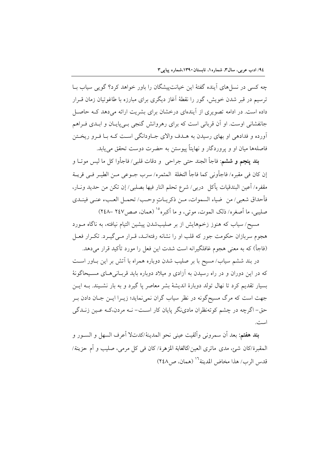چه کسی در نسا های آینده گفتهٔ این خیانتپیشگان را باور خواهد کرد؟ گویی سیاب بـا ترسیم در قبر شدن خویش، گور را نقطهٔ آغاز دیگری برای مبارزه با طاغوتیان زمان قـرار داده است. در ادامه تصویری از آیندهای درخشان برای بشریت ارائه می دهد کـه حاصـل جانفشانی اوست. او اَن قربانی است که برای رهروانش گنجی بـی،پایـان و ابــدی فــراهم آورده و فدادهی او بهای رسیدن به هـدف والای جــاودانگی اسـت کــه بــا فــرو ریخــتن فاصلهها ميان او و پروردگار و نهايتاً پيوستن به حضرت دوست تحقق مي يابد.

**بند پنجم و ششم**: فاجأ الجند حتى جراحى و دقات قلبى/ فاجأوا كل ما ليس موتــا و إن كان في مقبره/ فاجأوني كما فاجأ النخلة المثمره/ سرب جـوعي مـن الطيـر فـي قريــة مقفره/ أعين البندقيات يأكل دربي/ شرع تحلم النار فيها بصلبي/ إن تكن من حديد ونــار، فأحداق شعبي/ من ضياء السموات، مـن ذكريـاتٍ وحـب/ تحمـل العـبء عنـي فينــدي صليبي، ما أصغره/ ذلك الموت، موتي، و ما أكبره°' (همان، صص١٤٧ –٢٤٨)

مسیح/ سیاب که هنوز زخمههایش از بر صلیبشدن پیشین التیام نیافته، به ناگاه مـورد هجوم سربازان حکومت جور که قلب او را نشانه رفتهانـد، قـرار مـيگيـرد. تکـرار فعـل (فاجأ) كه به معنى هجوم غافلگيرانه است شدت اين فعل را مورد تأكيد قرار مى دهد.

در بند ششم سیاب/ مسیح با بر صلیب شدن دوباره همراه با آتش بر این بــاور اســت که در این دوران و در راه رسیدن به آزادی و میلاد دوباره باید قربانی هـای مسـیحاگونهٔ بسیار تقدیم کرد تا نهال تولد دوبارهٔ اندیشهٔ بشر معاصر یا گیرد و به بار نشـیند. بــه ایــن جهت است که مرگ مسیحگونه در نظر سیاب گران نمی نماید؛ زیــرا ایــن جــان دادن بــر حق- اگرچه در چشم کوتهنظران مادینگر پایان کار است- نــه مردن،کــه عــین زنــدگی است.

**بند هفتم:** بعد أن سمروني وألقيت عيني نحو المدينة/كدتلا أعرف السهل و السـور و المُقبِّرة/كان شيئٍ، مدى ماتري العين/كالغابة المزهرة/ كان في كلِّ مرمى، صليبٍ و أم حزينة/ قدس الرب/ هذا مخاض المدينة<sup>١٦</sup> (همان، ص ٢٤٨)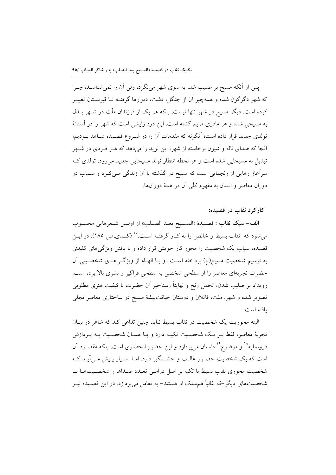یس از آنکه مسیح بر صلیب شد، به سوی شهر می نگرد، ولی آن را نمی شناسـد؛ چـرا که شهر دگرگون شده و همهچیز آن از جنگل، دشت، دیوارها گرفتـه تــا قبرسـتان تغییــر کرده است. دیگر مسیح در شهر تنها نیست، بلکه هر یک از فرزندان ملّت در شـهر بــدل به مسیحی شده و هر مادری مریم گشته است. این درد زایشی است که شهر را در آستانهٔ تولدی جدید قرار داده است؛ آنگونه که مقدمات آن را در شــروع قصــیده شــاهد بــودیم؛ آنجا که صدای ناله و شیون برخاسته از شهر، این نوید را میدهد که هـر فـردی در شـهر تبدیل به مسیحایی شده است و هر لحظه انتظار تولد مسیحایی جدید می رود. تولدی ک سرآغاز رهایی از رنجهایی است که مسیح در گذشته با آن زندگی مـیکـرد و سـیاب در دوران معاصر و انسان به مفهوم کلّی آن در همهٔ دورانها.

#### کار کرد نقاب در قصیده:

**الف-سبك نقاب :** قصـيدة «المسـيح بعـد الصـلب» از اولـين شـعرهايي محسـوب می شود که نقاب بسیط و خالص را به کـار گرفتـه اسـت." (کنـدی،ص ۱۸۵). در ایــن قصیده، سیاب یک شخصیت را محور کار خویش قرار داده و با یافتن ویژگیهای کلیدی به ترسیم شخصیت مسیح(ع) پرداخته است. او بـا الهـام از ویژگـیهـای شخصـیتی آن حضرت تجربهای معاصر را از سطحی شخصی به سطحی فراگیر و بشری بالا برده است. رويداد بر صليب شدن، تحمل رنج و نهايتاً رستاخيز أن حضرت با كيفيت هنري مطلوبي تصویر شده و شهر، ملت، قاتلان و دوستان خیانتپیشهٔ مسیح در ساختاری معاصر تجلی ىافته است.

البته محوریت یک شخصیت در نقاب بسیط نباید چنین تداعی کند که شاعر در بیـان تجربهٔ معاصر، فقط بـر یـک شخصـیت تکیـه دارد و بـا همـان شخصـیت بـه پـردازش درونمایه<sup>۱۸</sup> و موضوع<sup>۱۹</sup> داستان میپردازد و این حضور انحصاری است، بلکه مقصـود آن است که یک شخصیت حضـور غالـب و چشـمگیر دارد. امـا بسـیار پـیش مـی]یـد کـه شخصیت محوری نقاب بسیط با تکیه بر اصل درامـی تعـدد صـداها و شخصـیتهـا بـا شخصیتهای دیگر –که غالباً همسلک او هستند– به تعامل می پردازد. در این قصـیده نیـز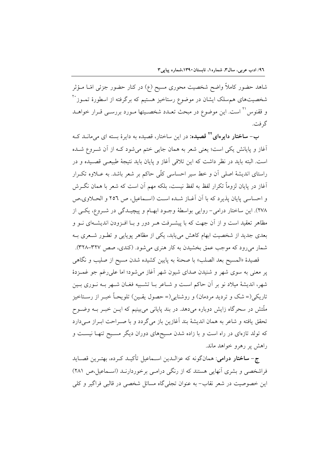شاهد حضور کاملاً واضح شخصیت محوری مسیح (ع) در کنار حضور جزئی امّــا مــؤثر شخصیتهای هم سلک ایشان در موضوع رستاخیز هستیم که برگرفته از اسطورهٔ تمــوز`` و ققنوس<sup>۲۱</sup> است. این موضوع در مبحث تعـدد شخصـیتها مـورد بررسـی قـرار خواهـد گر فت.

ب– **ساختار دایرهای<sup>۲۲</sup> قصیده**: در این ساختار، قصیده به دایرهٔ بسته ای میٍمانــد کــه اَغاز و پایانش یکی است؛ یعنی شعر به همان جایی ختم میشود کـه از اَن شـروع شـده است. البته بايد در نظر داشت كه اين تلاقى آغاز و پايان بايد نتيجهٔ طبيعـي قصـيده و در راستای اندیشهٔ اصلی آن و خط سیر احساسی کلّی حاکم بر شعر باشد. به عـلاوه تکـرار آغاز در پایان لزوماً تکرار لفظ به لفظ نیست، بلکه مهم اَن است که شعر با همان نگــرش و احساسی پایان پذیرد که با آن آغـاز شـده اسـت (اسـماعیل، ص ٢٥٦ و الحـلاوی،ص ٢٧٨). این ساختار درامی- روایی بواسطهٔ وجـود ابهـام و پیچیـدگی در شـروع، یکـی از .<br>مظاهر تعقید است و از آن جهت که با پیشـرفت هـر دور و بــا افــزودن اندیشــهای نــو و بعدی جدید از شخصیت ابهام کاهش می پابد، یکی از مظاهر یوپایی و تطـور شـعری بـه شمار میروود که موجب عمق بخشیدن به کار هنری می شود. (کندی، صص ۳۲۷–۳۲۸).

قصيدهٔ «المسيح بعد الصلب» با صحنهٔ به پايين كشيده شدن مسيح از صليب و نگاهي پر معنی به سوی شهر و شنیدن صدای شیون شهر آغاز می شود؛ اما علی رغم جو غمــزدهٔ شهر، اندیشهٔ میلاد نو بر آن حاکم است و شـاعر بـا تشـبیه فغـان شـهر بـه نـوری بـین تاریکی(= شک و تردید مردمان) و روشنایی(= حصول یقـین) تلویحـاً خبـر از رســتاخیز ملّتش در سحرگاه زایش دوباره میدهد. در بند پایانی میبینیم که ایــن خبــر بــه وضــوح تحقق یافته و شاعر به همان اندیشهٔ بند آغازین باز میگردد و با صـراحت ابـراز مـیدارد که تولد تازهای در راه است و با زاده شدن مسیحهای دوران دیگر مسـیح تنهـا نیسـت و راهش پر رهرو خواهد ماند.

ج- **ساختار درامي**: همانگونه كه عزالـدين اسـماعيل تأكيـد كـرده، بهتـرين قصـايد فراشخصی و بشری آنهایی هستند که از رنگی درامی برخوردارنـد (اسـماعیل،ص ۲۸۱) این خصوصیت در شعر نقاب- به عنوان تجلی گاه مسائل شخصی در قالبی فراگیر و کلی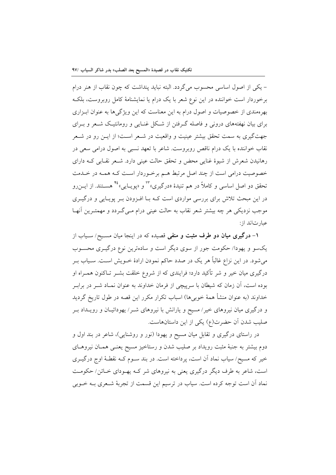– یکی از اصول اساسی محسوب می گردد. البته نباید پنداشت که چون نقاب از هنر درام برخوردار است خواننده در این نوع شعر با یک درام یا نمایشنامهٔ کامل روبروست، بلکه بهرهمندی از خصوصیات و اصول درام به این معناست که این ویژگیها به عنوان ابـزاری برای بیان نهفتههای درونی و فاصله گـرفتن از شـكل غنـایی و رومانتیـك شـعر و بـرای جهتگیری به سمت تحقق بیشتر عینیت و واقعیت در شـعر اسـت؛ از ایــن رو در شــعر نقاب خواننده با یک درام ناقص روبروست. شاعر با تعهد نسبی به اصول درامی سعی در رهانیدن شعرش از شیوهٔ غنایی محض و تحقق حالت عینی دارد. شـعر نقـابی کـه دارای خصوصیت درامی است از چند اصل مرتبط هـم برخـوردار اسـت کـه همـه در خـدمت تحقق دو اصل اساسی و کاملاً در هم تنیدهٔ «درگیری» ٌ`` و «یویـایی» ٌ`` هســتند. از ایــن(و در این مبحث تلاش برای بررسی مواردی است کـه بـا افـزودن بـر پویـایی و درگیـری موجب نزدیکی هر چه بیشتر شعر نقاب به حالت عینی درام مـی گـردد و مهمتـرین آنهـا عبارتاند از:

۱– درگیری میان دو طرف مثبت و منفی قصیده که در اینجا میان مسـیح/ سـیاب از یکسو و یهودا/ حکومت جور از سوی دیگر است و سادهترین نوع درگیـری محسـوب می شود. در این نزاع غالباً هر یک در صدد حاکم نمودن ارادهٔ خــویش اسـت. سـیاب بــر درگیری میان خیر و شر تأکید دارد؛ فرایندی که از شروع خلقت بشــر تــاکنون همــراه او بوده است، آن زمان که شیطان با سرپیچی از فرمان خداوند به عنوان نمـاد شـر در برابـر خداوند (به عنوان منشأ همهٔ خوبیها) اسباب تکرار مکرر این قصه در طول تاریخ گردید و درگیری میان نیروهای خیر/مسیح و یارانش با نیروهای شـر/ یهودائیـان و رویــداد بـر صلیب شدن آن حضرت(ع) یکی از این داستانهاست.

در راستای درگیری و تقابل میان مسیح و یهودا (نور و روشنایی)، شاعر در بند اول و دوم بیشتر به جنبهٔ مثبت رویداد بر صلیب شدن و رستاخیز مسیح یعنـی همـان نیروهـای خیر که مسیح/ سیاب نماد آن است، پرداخته است. در بند سـوم کـه نقطـهٔ اوج درگیــری است، شاعر به طرف دیگر درگیری یعنی به نیروهای شر کـه پهـودای خـائن/حکومـت نماد آن است توجه کرده است. سیاب در ترسیم این قسمت از تجربهٔ شـعری بــه خــوبی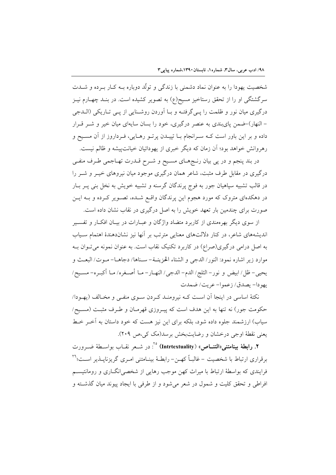شخصیت یهودا را به عنوان نماد دشمنی با زندگی و تولّد دوباره بـه کــار بــرده و شــدت سرگشتگی او را از تحقق رستاخیز مسیح(ع) به تصویر کشیده است. در بنـد چهــارم نیــز درگیری میان نور و ظلمت را یے گرفتـه و بــا اَوردن روشــنایی از یــی تــاریکی (الــدجی – النهار)–ضمن پایبندی به عنصر درگیری، خود را بسان سایهای میان خیر و شــر قــرار داده و بر این باور است کــه ســرانجام بــا تپیــدن پرتــو رهــایی، فــرداروز از آن مســیح و رهروانش خواهد بود؛ أن زمان كه ديگر خبرى از يهودائيان خيانت پيشه و ظالم نيست.

در بند پنجم و در پی بیان رنـجهـای مسـیح و شـرح قـدرت تهـاجمی طـرف منفـی درگیری در مقابل طرف مثبت، شاعر همان درگیری موجود میان نیروهای خیــر و شــر را در قالب تشبیه سپاهیان جور به فوج پرندگان گرسنه و تشبیه خویش به نخل بنی پــر بــار در دهکدهای متروک که مورد هجوم این پرندگان واقع شـده، تصـویر کـرده و بـه ایــن صورت برای چندمین بار تعهد خویش را به اصل درگیری در نقاب نشان داده است.

از سوی دیگر بهرهمندی از کاربرد متضاد واژگان و عبـارات در بیــان افکــار و تفســیر اندیشههای شاعر، در کنار دلالتهای معنایی مترتب بر آنها نیز نشاندهندهٔ اهتمام سـیاب به اصل درامی درگیری(صراع) در کاربرد تکنیک نقاب است. به عنوان نمونه می تـوان بــه موارد زير اشاره نمود: النور/ الدجي و الشتاء الحزينــة- سـناها/ دجاهــا- مـوت/ البعـث و يحيى– ظل/ ابيض و نور– الثلج/ الدم– الدجي/ النهـار– مـا أصـغره/ مـا أكبـره– مسـيح/ يهو دا- بصدق/ زعموا- عربت/ ضمدت

نکتهٔ اساسی در اینجا آن است کـه نیرومنـد کـردن سـوی منفـی و مخـالف (یهـودا/ حکومت جور) نه تنها به این هدف است که پیـروزی قهرمـان و طـرف مثبـت (مسـیح/ سیاب) ارزشمند جلوه داده شود، بلکه برای این نیز هست که خود داستان به آخـر خـط يعني نقطة اوجي درخشان و رضايت بخش برسد(مک کي،ص ٢٠٩).

۲. رابطهٔ بینامتنی«التنــاص» (Intrtextuality) °': در شــعر نقــاب بواســطهٔ ضــرورت برقراری ارتباط با شخصیت – غالباً کهـن- رابطـهٔ بینـامتنی امـری گریزناپــذیر اســت؛ `` فرایندی که بواسطهٔ ارتباط با میراث کهن موجب رهایی از شخصی(نگــاری و رومانتیســم افراطی و تحقق کلیت و شمول در شعر میشود و از طرفی با ایجاد پیوند میان گذشته و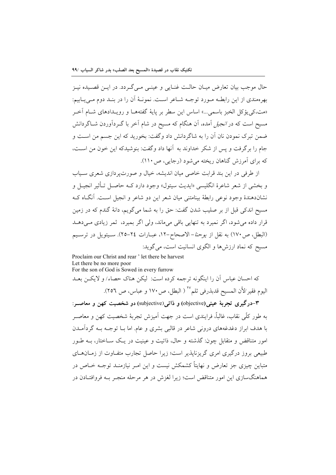حال موجب بيان تعارض ميــان حالــت غنــايي و عينــي مــي گــردد. در ايــن قصــيده نيــز بهر ممندي از اين رابطـه مـورد توجـه شـاعر اسـت. نمونــهٔ آن را در بنــد دوم مـي\_ابيم: «مت،کی یؤکل الخبز باسمی…» اساس این سطر بر پایهٔ گفتههـا و رویـدادهای شـام آخـر مسیح است که در *انجیل* آمده، آن هنگام که مسیح در شام آخر با گــردآوردن شــاگردانش ضمن تبرک نمودن نان آن را به شاگردانش داد وگفت: بخورید که این جسم من است و جام را بر گرفت و پس از شکر خداوند به آنها داد و گفت: پنوشیدکه این خون من است، که برای آمرزش گناهان ریخته می شود (رجایی، ص ۱۱۰).

از طرفی در این بند قرابت خاصی میان اندیشه، خیال و صورت پردازی شعری سـیاب و بخشي از شعر شاعرهٔ انگليسي «ايديث سيتول» وجود دارد کــه حاصــل تــأثير انجيــل و نشاندهندهٔ وجود نوعی رابطهٔ بینامتنی میان شعر این دو شاعر و انجیل است. آنگاه ک مسیح اندکی قبل از بر صلیب شدن گفت: حق را به شما میگویم، دانهٔ گندم که در زمین قرار داده میشود، اگر نمیرد به تنهایی باقی میماند، ولی اگر بمیرد، ثمر زیادی میدهـد (البطل، ص١٧٠) به نقل از يوحنا-الاصحاح-١٢، عبـارات ٢٤-٢٥). سـيتويل در ترسـيم مسیح که نماد ارزشها و الگوی انسانیت است، می گوید:

Proclaim our Christ and rear ' let there be harvest Let there be no more poor For the son of God is Sowed in every furrow

كه احسان عباس أن را اينگونه ترجمه كرده است: ليكن هناك حصاء/ و لايكـن بعــد اليوم فقير/لأن المسيح قدبذرفي ثلم ``` ( البطل، ص ١٧٠ و عباس، ص ٢٥٦).

٣-درگيري تجربهٔ عيني(objective) و ذاتي(subjective) دو شخصيت کهن و معاصــر: به طور كلَّى نقابٍ، غالباً، فرايندي است در جهت اَميزش تجربهٔ شخصيت كهن و معاصـر با هدف ابراز دغدغههای درونی شاعر در قالبی بشری و عام. اما بــا توجــه بــه گردآمــدن امور متناقض و متقابل چون: گذشته و حال، ذاتیت و عینیت در یـک ســاختار، بــه طــور طبیعی بروز درگیری امری گریزناپذیر است؛ زیرا حاصل تجارب متفـاوت از زمــان۱مـای متباین چیزی جز تعارض و نهایتاً کشمکش نیست و این امـر نیازمنـد توجـه خــاص در هماهنگسازی این امور متناقض است؛ زیرا لغزش در هر مرحله منجـر بـه فروافتـادن در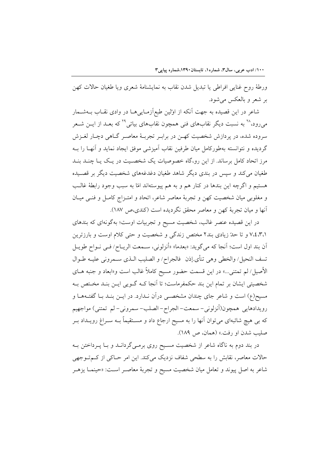ورطهٔ روح غنایی افراطی یا تبدیل شدن نقاب به نمایشنامهٔ شعری ویا طغیان حالات کهن بر شعر و بالعکس می شود.

شاعر در این قصیده به جهت آنکه از اوّلین طبع|زمـایی۵ـا در وادی نقــاب بــهشــمار میرود،<sup>۲۸</sup> به نسبت دیگر نقابهای فنی همچون نقابهای بیاتی<sup>۲۹</sup> که بعــد از ایــن شــعر سروده شده، در پردازش شخصیت کهـن در برابـر تجربـهٔ معاصـر گــاهی دچـار لغــزش گردیده و نتوانسته بهطورکامل میان طرفین نقاب آمیزشی موفق ایجاد نماید و آنهـا را بــه مرز اتحاد کامل برساند. از این رو،گاه خصوصیات یک شخصـیت در یـک یـا چنـد بنـد طغیان می کند و سپس در بندی دیگر شاهد طغیان دغدغههای شخصیت دیگر بر قصـیده هستيم و اگرچه اين بندها در كنار هم و به هم پيوستهاند امّا به سبب وجود رابطهٔ غالـب و مغلوبی میان شخصیت کهن و تجربهٔ معاصر شاعر، اتحاد و امتـزاج کامـل و فنـی میـان أنها و ميان تجربهٔ كهن و معاصر محقق نگرديده است (كندى،ص ١٨٧).

در این قصیده عنصر غالب، شخصیت مسیح و تجربیات اوست؛ بهگونهای که بندهای ٬٬٤٬۳٬۱ و تا حدّ زیادی بند۲ مختص زندگی و شخصیت و حتی کلام اوست و بارزترین أن بند اول است؛ أنجا كه مي گويد: «بعدما» «أنزلوني، سـمعت الريــاح/ فـي نــواح طويــل تسف النحيل/ والخطى وهي تنأى.إذن ۖ فالجراح/ و الصليب الـذي سـمروني عليــه طــوال الأصيل/ لم تمتني…» در اين قسمت حضور مسيح كاملاً غالب است و«ابعاد و جنبه هــاي شخصیتی ایشان بر تمام این بند حکمفرماست؛ تا اَنجا کـه گـویی ایـن بنـد مخـتص بـه مسیح(ع) است و شاعر جای چندان مشخصـی درآن نـدارد. در ایــن بنــد بــا گفتــههــا و رويدادهايي همچون(أنزلوني- سمعت- الجراح- الصلب- سمروني- لم تمتني) مواجهيم که بی هیچ شائبهای میتوان آنها را به مسیح ارجاع داد و مسـتقیماً بــه ســراغ رویــداد بــر صليب شدن او رفت.» (همان، ص ١٨٩).

در بند دوم به ناگاه شاعر از شخصیت مسـیح روی برمـیگردانــد و بــا پــرداختن بــه حالات معاصر، نقابش را به سطحی شفاف نزدیک میکند. این امر حـاکی از کـمتـوجهی شاعر به اصل پیوند و تعامل میان شخصیت مسیح و تجربهٔ معاصـر اسـت: «حینمـا یزهـر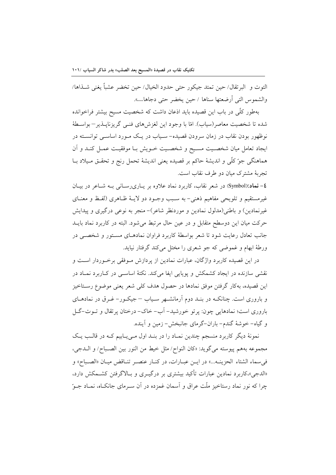التوت و البرتقال/ حين تمتد جيكور حتى حدود الخيال/ حين تخضر عشباً يغني شـذاها/ والشموس التبي أرضعتها سناها / حين يخضر حتى دجاها...».

بهطور کلّی در باب این قصیده باید اذعان داشت که شخصیت مسیح بیشتر فراخوانده شده تا شخصیت معاصر (سیاب). امّا با وجود این لغزشهای فنبی گریزناپیذیر – بواسطهٔ نوظهور بودن نقاب در زمان سرودن قصیده– سـیاب در یـک مـورد اساســی توانســته در ايجاد تعامل ميان شخصـيت مسـيح و شخصـيت خـويش بـا موفقيـت عمـل كنـد و آن هماهنگی جوّ کلّی و اندیشهٔ حاکم بر قصیده یعنی اندیشهٔ تحمل رنج و تحقـق مـیلاد بـا تجربهٔ مشترک میان دو طرف نقاب است.

£- نماد:(Symbol) در شعر نقاب، كاربرد نماد علاوه بر پـاريرسـاني بـه شـاعر در بيـان غیرمستقیم و تلویحی مفاهیم ذهنی– به سـبب وجـود دو لایـهٔ ظـاهری (لفـظ و معنـای غیرنمادین) و باطنی(مدلول نمادین و موردنظر شاعر)-منجر به نوعی درگیری و پیدایش حرکت میان این دوسطح متقابل و در عین حال مرتبط میشود. البته در کاربرد نماد بایــد جانب تعادل رعایت شود تا شعر بواسطهٔ کاربرد فراوان نمادهـای مسـتور و شخصـی در ورطهٔ ابهام و غموضی که جو شعری را مختل میکند گرفتار نیاید.

در این قصیده کاربرد واژگان، عبارات نمادین از پردازش مـوفقی برخـوردار اسـت و نقشی سازنده در ایجاد کشمکش و پویایی ایفا میکند. نکتهٔ اساســی در کــاربرد نمــاد در این قصیده، بهکار گرفتن موفق نمادها در حصول هدف کلی شعر یعنی موضوع رسـتاخیز و باروری است. چنانکـه در بنـد دوم آرمانشـهر سـیاب –جیکـور- غـرق در نمادهـای باروري است؛ نمادهايي چون: پر تو خورشيد- آب- خاک- درختان پر تقال و تــوت-گــل و گياه- خوشهٔ گندم- باران-گرماي جانبخش- زمين و آينده.

نمونهٔ دیگر کاربرد منسجم چندین نمـاد را در بنـد اول مـیLیابیم کـه در قالـب یـک مجموعه بههم پيوسته مي گويد: «كان النواح/ مثل خيط من النور بين الصـباح/ و الــدجي، في سماء الشتاء الحزينـه...» در ايــن عبــارات، در كنــار عنصــر تنــاقض ميــان «الصــباح» و «الدجی»،کاربرد نمادین عبارات تأکید بیشتری بر درگیـری و بـالاگرفتن کشـمکش دارد، چرا که نور نماد رستاخیز ملّت عراق و اَسمان غمزده در اَن سـرمای جانکـاه، نمـاد جـوّ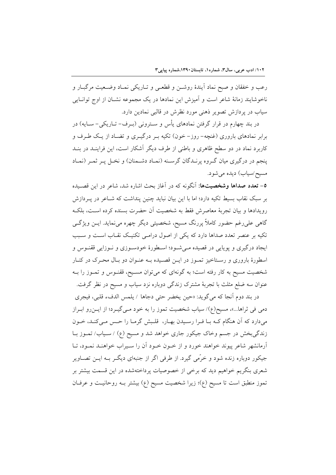رعب و خفقان و صبح نماد آیندهٔ روشـن و قطعـی و تـاریکی نمـاد وضـعیت مرگبـار و ناخوشایند زمانهٔ شاعر است و آمیزش این نمادها در یک مجموعه نشـان از اوج توانـایی سیاب در پردازش تصویر ذهنی مورد نظرش در قالبی نمادین دارد.

در بند چهارم در قرار گرفتن نمادهای پأس و سـترونی (بـرف– تــاریکی– ســایه) در برابر نمادهای باروری (غنچه- روز- خون) تکیه بـر درگیـری و تضـاد از یـک طـرف و کاربرد نماد در دو سطح ظاهری و باطنی از طرف دیگر آشکار است، این فراینـد در بنـد پنجم در درگیری میان گـروه پرنـدگان گرسـنه (نمـاد دشـمنان) و نخـل پـر ثمـر (نمـاد مسيح/سياب) ديده مي شود.

**٥- تعدد صداها وشخصیتها:** آنگونه که در آغاز بحث اشاره شد، شاعر در این قصـیده بر سبک نقاب بسیط تکیه دارد؛ اما با این بیان نباید چنین پنداشت که شـاعر در پـردازش رويدادها و بيان تجربهٔ معاصرش فقط به شخصيت أن حضرت بسنده كرده است، بلكـه گاهی علی رغم حضور کاملاً پررنگ مسیح، شخصیتی دیگر چهره می نماید. ایــن ویژگــی تکیه بر عنصر تعدد صداها دارد که یکی از اصول درامی تکنیک نقـاب اسـت و سـبب ایجاد درگیری و پوپایی در قصیده مـیشـود؛ اسـطورهٔ خودسـوزی و نـوزایی ققنـوس و اسطورهٔ باروری و رستاخیز تمـوز در ایـن قصـیده بـه عنـوان دو بـال محـرک در کنـار شخصیت مسیح به کار رفته است؛ به گونهای که میتوان مسـیح، ققنـوس و تمـوز را بـه عنوان سه ضلع مثلث با تجربهٔ مشترک زندگی دوباره نزد سیاب و مسیح در نظر گرفت.

در بند دوم أنجا كه مي گويد: «حين يخضر حتى دجاها / يلمس الدفء قلبي، فيجري دمی فی ثراها...»، مسیح(ع)/ سیاب شخصیت تموز را به خود مـی&ــرد؛ از ایــنرو ابــراز میدارد که آن هنگام کـه بـا فـرا رسـیدن بهـار، قلـبش گرمـا را حـس مـیکنـد، خـون زندگیبخش در جسم وخاک جیکور جاری خواهد شد و مسیح (ع) / سـیاب/ تمـوز بـا آرمانشهر شاعر پیوند خواهند خورد و از خـون خـود آن را سـیراب خواهنـد نمـود، تـا جیکور دوباره زنده شود و خرَّمی گیرد. از طرفی اگر از جنبهای دیگـر بـه ایــن تصــاویر شعری بنگریم خواهیم دید که برخی از خصوصیات پرداختهشده در این قسمت بیشتر بر تموز منطبق است تا مسیح (ع)؛ زیرا شخصیت مسیح (ع) بیشتر بـه روحانیـت و عرفـان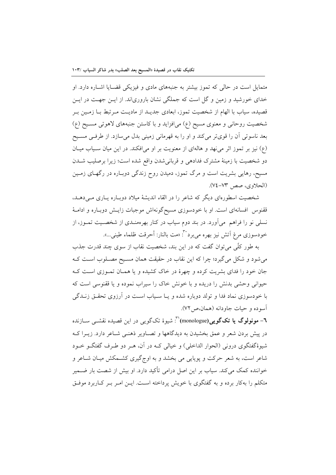متمایل است در حالی که تموز بیشتر به جنبههای مادی و فیزیکی قضـایا اشـاره دارد. او خدای خورشید و زمین و گل است که جملگی نشان باروریاند. از ایـن جهـت در ایـن قصیده، سیاب با الهام از شخصیت تموز، ابعادی جدیـد از مادیـت مـرتبط بـا زمـین بـر شخصیت روحانی و معنوی مسیح (ع) میافزاید و با کاستن جنبههای لاهوتی مسـیح (ع) بعد ناسوتی آن را قویتر میکند و او را به قهرمانی زمینی بدل میسازد. از طرفی مسیح (ع) نیز بر تموز اثر می نهد و هالهای از معنویت بر او میافکند. در این میان سـیاب میـان دو شخصیت با زمینهٔ مشترک فدادهی و قربانی شدن واقع شده است؛ زیرا برصلیب شـدن مسیح، رهایی بشریت است و مرگ تموز، دمیدن روح زندگی دوبـاره در رگهـای زمـین (الحلاوي، صص ٧٣-٧٤).

شخصیت اسطورهای دیگر که شاعر را در القاء اندیشهٔ میلاد دوبـاره پـاری مـی(دهـد. ققنوس افسانهای است. او با خودسوزی مسیحگونهاش موجبات زایـش دوبـاره و ادامـهٔ نسلی نو را فراهم ً میآورد. در بند دوم سیاب در کنار بهرهمنـدی از شخصـیت تمــوز، از خودسوزي مرغ ٱتش نيز بهره مي برد به صلى النار: أحرقت ظلماء طيني...».

به طور کلّی می توان گفت که در این بند، شخصیت نقاب از سوی چند قدرت جذب می شود و شکل می گیرد؛ چرا که این نقاب در حقیقت همان مسـیح مصـلوب اسـت کـه جان خود را فدای بشریت کرده و چهرهٔ در خاک کشیده و یا همـان تمـوزی اسـت کـه حیوانی وحشی بدنش را دریده و با خونش خاک را سپراب نموده و یا ققنوسی است که با خودسوزی نماد فدا و تولد دوباره شده و یـا سـیاب اسـت در آرزوی تحقـق زنــدگی آسوده و حيات جاودانه (همان،ص) ٧٢).

**٦**– **مونولوگ یا تکگویی(monologue)**": شیوهٔ تکگویی در این قصیده نقشــی ســازنده در پیش بردن شعر و عمق بخشیدن به دیدگاهها و تصـاویر ذهنـی شـاعر دارد. زیــرا کــه شیوهٔگفتگوی درونی (الحوار الداخلی) و خیالی کـه در آن، هـر دو طـرف گفتگــو خــود شاعر است، به شعر حرکت و پویایی می بخشد و به اوج گیری کشــمکش میـان شــاعر و خواننده کمک میکند. سیاب بر این اصل درامی تأکید دارد. او بیش از شصت بار ضــمیر متکلم را بهکار برده و به گفتگوی با خویش پرداخته است. ایــن امــر بــر کــاربرد موفــق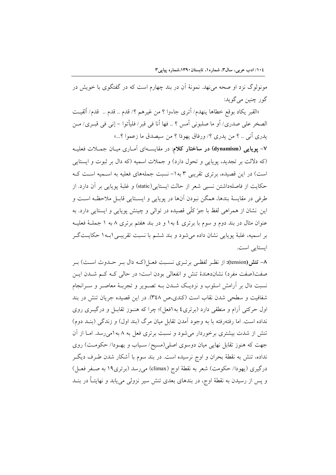مونولوگ نزد او صحه می نهد. نمونهٔ اَن در بند چهارم است که در گفتگوی با خویش در گور چنين مي گويد:

«القبر يكاد بوقع خطاها ينهدم/ أترى جاءوا ؟ من غيرهم ؟/ قدم .. قدم .. قدم/ ألقيت الصخر على صدري/ أو ما صلبوني أمس ؟ .. فها أنا في قبر / فليأتوا – إني في قبـري/ مـن يدري أني .. ؟ من يدري ؟/ ورفاق يهوذا ؟ من سيصدق ما زعموا ؟...»

۷- یویایی (dynamism) در ساختار کلام: در مقایسـهای آمـاری میـان جمــلات فعلیــه (که دلالت بر تجدید، پویایی و تحول دارد) و جملات اسمیه (که دال بر ثبوت و ایستایی است) در این قصیده، برتری تقریبی ۳ به ۱- نسبت جملههای فعلیه به اسـمیه اسـت کـه حكايت از فاصلهداشتن نسبي شعر از حالت ايستايي(static) و غلبهٔ يوپايي بر آن دارد. از طرفي در مقايسهٔ بندها، همگن نبودن آنها در يوپايي و ايســتايي قابــل ملاحظـه اســت و اين نشان از همراهي لفظ با جو ًكلّي قصيده در توالي و چينش يوپايي و ايستايي دارد. به عنوان مثال در بند دوم و سوم با برتري ٤ به١ و در بند هفتم برتري ٨ به ١ جملــهٔ فعليــه بر اسميه، غلبهٔ پويايي نشان داده مي شود و بند ششم با نسبت تقريبـي (بـه١ حكايـتگـر ایستایی است.

۸– تنش(tension): از نظـر لفظـي برتـري نسـبت فعـل(كـه دال بـر حـدوث اسـت) بـر صفت(صفت مفرد) نشاندهندهٔ تنش و انفعالی بودن است؛ در حالی کـه کـم شــدن ایــن نسبت دال بر آرامش اسلوب و نزدیـک شــدن بــه تصــویر و تجربــهٔ معاصــر و ســرانجام شفافیت و سطحی شدن نقاب است (کندی،ص ۳٤٨). در این قصیده جریان تنش در بند اول حرکتی آرام و منطقی دارد (برتری٤ به١فعل)؛ چرا که هنــوز تقابــل و درگیــری روی نداده است. اما رفتهرفته با به وجود آمدن تقابل میان مرگ (بند اول) و زندگی (بنـد دوم) تنش از شدت بیشتری برخوردار می شود و نسبت برتری فعل به ۸ به ۱میرسد. امـا از آن جهت که هنوز تقابل نهایی میان دوسوی اصلی(مسیح/ سـیاب و یهـودا/ حکومـت) روی نداده، تنش به نقطهٔ بحران و اوج نرسیده است. در بند سوم با آشکار شدن طـرف دیگــر درگیری (یهودا/ حکومت) شعر به نقطهٔ اوج (climax) میرسد (برتری1۹ به صـفر فعـل) و پس از رسیدن به نقطهٔ اوج، در بندهای بعدی تنش سیر نزولی می یابد و نهایتـاً در بنــد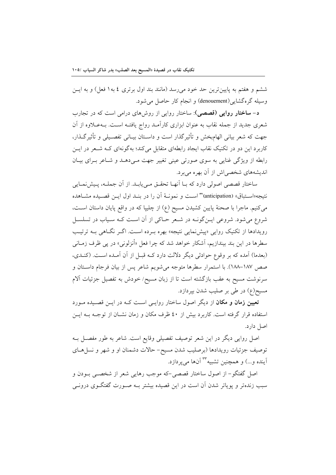ششم و هفتم به پایین ترین حد خود میرسد (مانند بند اول برتری ٤ به١ فعل) و به ایــن وسيله گرهگشايي(denouement) و انجام كار حاصل مى شود.

د- **ساختار روایی (قصصی)**: ساختار روایی از روشهای درامی است که در تجارب شعری جدید از جمله نقاب به عنوان ابزاری کارآمـد رواج یافتـه اسـت. بــهعــلاوه از آن جهت كه شعر بياني الهامبخش و تأثير گذار است و داسـتان بيـاني تفصـيلي و تأثير گـذار، کاربرد این دو در تکنیک نقاب ایجاد رابطهای متقابل می کند؛ بهگونهای کـه شـعر در ایــن رابطه از ویژگی غنایی به سوی صورتی عینی تغییر جهت مـی دهـد و شـاعر بـرای بیـان اندیشههای شخصی اش از آن بهره می برد.

ساختار قصصی اصولی دارد که بـا آنهـا تحقـق مـی یابـد. از آن جملـه، پـیشiمـایی نتيجه«اسـتباق» (anticipation)" اسـت و نمونــهٔ أن را در بنــد اول ايــن قصـيده مشــاهده میکنیم. ماجرا با صحنهٔ پایین کشیدن مسیح (ع) از چلیپا که در واقع پایان داستان اسـت، شروع می شود. شروعی ایــن گونــه در شــعر حــاکی از آن اســت کــه ســیاب در تسلســل رویدادها از تکنیک روایی «پیش نمایی نتیجه» بهره بـرده اسـت. اگـر نگـاهی بـه ترتیـب سطرها در این بند بیندازیم، آشکار خواهد شد که چرا فعل «أنزلونی» در یی ظرف زمـانی (بعدما) آمده که بر وقوع حوادثی دیگر دلالت دارد کـه قبـل از آن آمـده اسـت. (کنـدی، صص ١٨٧-١٨٨). با استمرار سطرها متوجه مي شويم شاعر پس از بيان فرجام داسـتان و سرنوشت مسیح به عقب بازگشته است تا از زبان مسیح/ خودش به تفصیل جزئیات آلام مسيح(ع) در طي بر صليب شدن بيردازد.

<mark>تعیین زمان و مکان</mark> از دیگر اصول ساختار روایـی اسـت کـه در ایـن قصـیده مـورد استفاده قرار گرفته است. کاربرد بیش از ٤٠ ظرف مکان و زمان نشــان از توجــه بــه ايــن اصل دارد.

اصل روایی دیگر در این شعر توصیف تفصیلی وقایع است. شاعر به طور مفصـل بـه توصیف جزئیات رویدادها (برصلیب شدن مسیح- حالات دشمنان او و شهر و نسل هـای آينده و...) و همچنين تشبيه <sup>٣٣</sup> آنها مي پردازد.

اصل گفتگو – از اصول ساختار قصصی –که موجب رهایی شعر از شخصـی بـودن و سبب زندهتر و پوپاتر شدن آن است در این قصیده بیشتر بــه صــورت گفتگــوی درونــی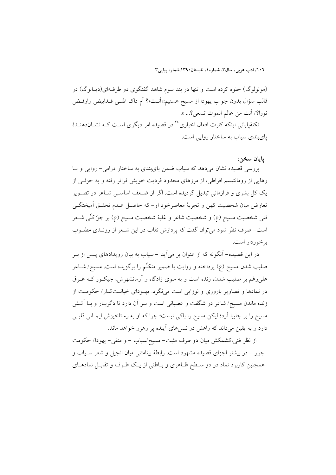(مونولوگ) جلوه کرده است و تنها در بند سوم شاهد گفتگوی دو طرفهای(دیبالوگ) در قالب سؤال بدون جواب يهودا از مسيح هستيم:«أنـت»؟ أم ذاك ظلـبي قــدابيض وارفــض نورا؟/ أنت من عالم الموت تسعى؟... ».

نکتهٔپایانی اینکه کثرت افعال اخباری <sup>۳</sup>۰ در قصیده امر دیگری است کـه نشــاندهنــدهٔ پایبندی سیاب به ساختار روایی است.

#### يايان سخن:

بررسی قصیده نشان میدهد که سیاب ضمن پایبندی به ساختار درامی- روایی و بـا رهایی از رومانتیسم افراطی، از مرزهای محدود فردیت خویش فراتر رفته و به جزئــی از یک کل بشری و فرازمانی تبدیل گردیده است. اگر از ضعف اساسـی شـاعر در تصـویر تعارض ميان شخصيت كهن و تجربهٔ معاصرخود او- كه حاصـل عـدم تحقـق أميختگـي فني شخصيت مسيح (ع) و شخصيت شاعر و غلبهٔ شخصيت مسيح (ع) بر جوّ كلّي شــعر است- صرف نظر شود می توان گفت که پردازش نقاب در این شـعر از رونـدی مطلــوب بر خور دار است.

در این قصیده– آنگونه که از عنوان بر میآید – سیاب به بیان رویدادهای پــس از بــر صلیب شدن مسیح (ع) پرداخته و روایت با ضمیر متکلّم را برگزیده است. مسیح/ شــاعر علی رغم بر صلیب شدن، زنده است و به سوی زادگاه و آرمانشهرش، جیکـور کـه غــرق در نمادها و تصاویر باروری و نوزایی است می نگرد. یه ودای خیانتکار/حکومت از زنده ماندن مسیح/ شاعر در شگفت و عصبانی است و سر آن دارد تا دگربـار و بـا آتـش مسیح را بر چلیپا آرد؛ لیکن مسیح را باکی نیست؛ چرا که او به رستاخیزش ایمـانی قلبـی دارد و به یقین میداند که راهش در نسلهای آینده پر رهرو خواهد ماند.

از نظر فنی،کشمکش میان دو طرف مثبت- مسیح/سیاب – و منفی– یهودا/ حکومت جور – در بیشتر اجزای قصیده مشهود است. رابطهٔ بینامتنی میان انجیل و شعر سـیاب و همچنین کاربرد نماد در دو سطح ظـاهری و بـاطنی از یـک طـرف و تقابـل نمادهـای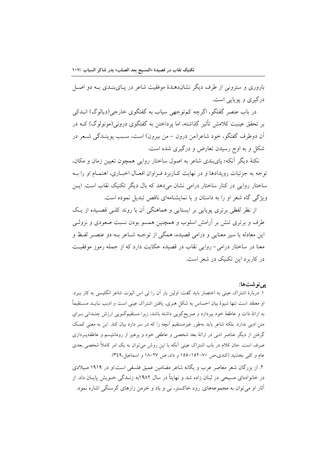باروری و سترونی از طرف دیگر نشاندهندهٔ موفقیت شاعر در پـایبنـدی بـه دو اصـل درگیری و پویایی است.

در باب عنصر گفتگو، اگرچه کم توجهی سیاب به گفتگوی خارجی(دیالوگ) انــدکی بر تحقق عینیت کلامش تأثیر گذاشته، اما پرداختن به گفتگوی درونی(مونولوگ) کــه در أن دوطرف گفتگو، خود شاعر(من درون – من بیرون) است، سـبب یوینـدگی شـعر در شکل و به اوج رسیدن تعارض و درگیری شده است.

نکتهٔ دیگر آنکه؛ پایبندی شاعر به اصول ساختار روایی همچون تعیین زمان و مکان، توجه به جزئیات رویدادها و در نهایت کـاربرد فـراوان افعـال اخبـاری، اهتمـام او را بــه ساختار روایی در کنار ساختار درامی نشان می دهد که بال دیگر تکنیک نقاب است. ایــن ویژگی گاه شعر او را به داستان و یا نمایشنامهای ناقص تبدیل نموده است.

از نظر لفظی برتری پویایی بر ایستایی و هماهنگی ان با روند کلـی قصـیده از یـک طرف و برتری تنش بر آرامش اسلوب و همچنین همسو بودن نسبت صعودی و نزولـی این معادله با سیر معنایی و درامی قصیده، همگی از توجـه شـاعر بـه دو عنصـر لفـظ و معنا در ساختار درامی- روایی نقاب در قصیده حکایت دارد که از جمله رموز موفقیت در کاربرد این تکنیک در شعر است.

يىنوشتها:

١. دربارهٔ اشتراک عینی به اختصار باید گفت: اولین بار آن را تی اس الیوت شاعر انگلیسی به کار بـرد. او معتقد است تنها شیوهٔ بیان احساس به شکل هنری، یافتن اشتراک عینی است و ادیب نبایــد مســتقیماً به ارائهٔ ذات و عاطفهٔ خود بیردازد و صریحگویی داشته باشد، زیرا مستقیمگـویی ارزش چنـدانی بـرای متن ادبی ندارد. بلکه شاعر باید بهطور غیرمستقیم آنچه را که در سر دارد بیان کند. این به معنی کمک گرفتن از دیگر عناصر ادبی در ارائهٔ بعد شخصی و عاطفی خود و پرهیز از رومانتیسم و عاطفهپردازی صرف است. جان کلام در باب اشتراک عینی آنکه با این روش میتوان به یک امر کاملاً شخصی بعدی عام و كلي بخشيد (كندي،ص ٧٠–١٥٢–١٥٥ و داد، ص ٢٧–١٨ و اسماعيل،٣٤٩).

۲. از بزرگان شعر معاصر عرب و یگانه شاعر مضامین عمیق فلسفی است.او در ۱۹۱۹ مـیلادی در خانوادهای مسیحی در لبنان زاده شد و نهایتاً در سال ۱۹۸۲به زنــدگی خــویش پایــان داد. از أثار او می توان به مجموعههای: رود خاکستر، نی و باد و خرمن زارهای گرسنگی اشاره نمود.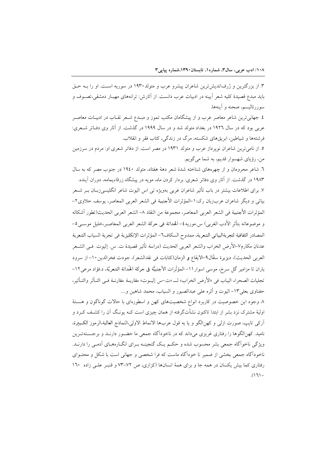۳. از بزرگترین و ژرفاندیش ترین شاعران پیشرو عرب و متولد ۱۹۳۰ در سوریه است. او را بـه حـق بايد مبدع قصيدهٔ كليه شعر آيينه در ادبيات عرب دانست. از آثارش: ترانههاي مهيــار دمشقي،تصــوف و سوررئاليسم، صحنه و آينهها.

٤. جهانی ترین شاعر معاصر عرب و از پیشگامان مکتب تموز و مبـدع شـعر نقـاب در ادبیـات معاصـر عربی بود که در سال ۱۹۲۲ در بغداد متولد شد و در سال ۱۹۹۹ در گذشت. از آثار وی دفـاتر شـعری: فرشتهها و شیاطین، ابریقهای شکسته، مرگ در زندگی، کتاب فقر و انقلاب.

۵. از نامی ترین شاعران نوپرداز عرب و متولد ۱۹۳۱ در مصر است. از دفاتر شعری او: مردم در سرزمین من، رؤیای شهسوار قدیم، به شما می گویم.

٦. شاعر محرومان و از چهرههای شناخته شدهٔ شعر دههٔ هفتاد، متولد ١٩٤٠ در جنوب مصر که به سال ۱۹۸۳ در گذشت. از آثار وی دفاتر شعری: بردار کردن ماه، مویه در پیشگاه زرقاءیمامه، دوران آینده. ۷. برای اطلاعات بیشتر در باب تأثیر شاعران غربی بهویژه تی اس الیوت شاعر انگلیسیزبـان بــر شــعر بياتي و ديگر شاعران عربزبان رک:١-المؤثرات الأجنبية في الشعر العربي المعاصر، يوسف حلاوي٢-المؤثرات الأجنبية في الشعر العربي المعاصر، مجموعة من النقاد ٨– الشعر العربي الحديث(تطور أشكاله و موضوعاته بتأثر الأدب الغربي) س.موريه٤- الحداثة في حركة الشعر العربي المعاصـر،خليل موســي٥-المصادر الثقافية لتجربةالبياتي الشعرية، ممدوح السكاف٦- المؤثرات الإنكليزية في تجربة السياب الشعرية عدنان مكارم٧–الأرض الخراب والشعر العربي الحديث (دراسة تأثير قصيدة ت. س. إليوت فـي الشــعر العربي الحديث)، ديزيرة سقَّال٩-الايقاع و الزمان(كتابات في نقدالشعر)، جودت فخرالدين١٠- از سرود باران تا مزامير گل سرخ، موسى اسوار ١١– المؤثِّرات الأجنبيَّة في حركة الحَداثة الشعريَّة، د.فؤاد مرعى١٢– تجليات الصحراء اليباب في «الأرض الخراب» لـــ «ت-س إليــوت» مقاربــة مقارنــة فــي التــأثر والتــأثير، حفناوي بعلي١٣- اليوت و أثره على عبدالصبور و السياب، محمد شاهين و....

٨. وجود اين خصوصيت در كاربرد انواع شخصيتهاي كهن و اسطورهاي با حالات گوناگون و هسـتهٔ اولیهٔ مشترک نزد بشر از ابتدا تاکنون نشأتگرفته از همان چیزی است کـه یونـگ آن را کشـف کـرد و آركي تايب، صورت ازلي و كهن(لگو و يا به قول عربها الانماط الاولي،النماذج العالية،الرموز الكـبيرة، نامید. کهنالگوها را رفتاری غریزی میداند که در ناخودآگاه جمعی ما حضـور دارنــد و برجسـتهتـرین ویژگی ناخوآگاه جمعی بشر محسوب شده و حکـم یـک گنجینــه بـرای انگــارههـای آدمــی را دارنــد. ناخودآگاه جمعی بخشی از ضمیر نا خودآگاه ماست که فرا شخصی و جهانی است با شکل و محتـوای رفتاری کما بیش یکسان در همه جا و برای همهٔ انسانها (کزازی، ص ۷۲–۷۳ و قنب علبی زاده ۱٦۰  $(171)$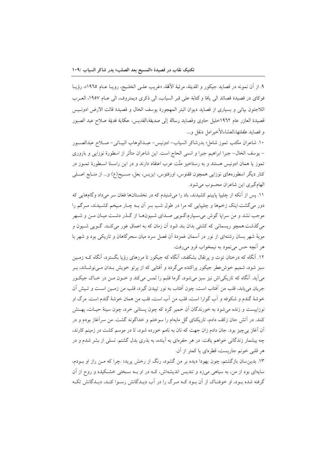٩. از آن نمونه در قصايد جيكور و المدينة، مرثية الألهة، «غريب علـي الخلـيج، رويـا عـام ١٩٦٥»، رؤيـا فوكاي در قصيدة قصائد الى يافا وكتابة على قبر السياب، الى ذكرى ديمتروف، الى عـام ١٩٥٧، العـرب اللاجئون بياتي و بسياري از قصايد ديوان البئر المهجورة يوسف الخال و قصيدة قالت الارض ادونـيس قصيدة العازر عام ١٩٦٢خليل حاوي وقصايد رسالة إلى صديقة،القديس، حكاية قديمة صلاح عبد الصبور و قصايد طفلتها،العشاءالأخيرامل دنقل و…

١٠. شاعران مكتب تموز شامل؛ بدرشاكر السياب-ادونيس- عبـدالوهاب البيــاتي- صــلاح عبدالصــبور – يوسف الخال– جبرا ابراهيم جبرا و انسي الحاج است. اين شاعران متأثر از اسطورهٔ نوزايي و باروري تموز یا همان ادونیس هستند و به رستاخیز ملّت عرب اعتقاد دارند و در این راسـتا اسـطورهٔ تمــوز در کنار دیگر اسطورههای نوزایی همچون ققنوس، اورفئوس، ایزیس، بعل، مسـیح(ع) و… از منـابع اصـلـی الهام گیری این شاعران محسوب می شود.

۱۱. پس از آنکه از چلیپا پایینم کشیدند، باد را میشنیدم که در نخلستانها فغان سر میداد وگامهایی که دور میگشت.اینک زخمها و چلیپایی که مرا در طول شب بـر آن بـه چـار مـیخم کشـیدند، مـرگم را موجب نشد و من سرایا گوش می سـیارم:گـویی صـدای شـیونهـا از گـذر دشـت میـان مــن و شــهر می گذشت.همچو ریسمانی که کشتی بدان بند شود آن زمان که به اعماق غور می کنـد. گــویی شــیون و مویهٔ شهر بسان رشتهای از نور در آسمان غمزدهٔ آن فصل سرد میان سحرگاهان و تاریکی بود و شهر با هر آنچه حس می نمود به نیمخواب فرو می رفت.

۱۲. آنگاه که درختان توت و یر تقال بشکفند، آنگاه که جیکور تا مرزهای رؤیا بگسترد، آنگاه کـه زمـین سبز شود، شمیم خوش عطر جیکور پراکنده می گردد و اَفتابی که از پرتو خویش بـدان مـی نوشـاند، بـر می آید. آنگاه که تاریکی اش نیز سبز میشود، گرما قلبم را لمس میکند و خــون مــن در خــاک جیکــور جريان مي يابد، قلب من أفتاب است، چون أفتاب به نور تييدن گيرد، قلب من زمـين اسـت و تـيش أن خوشهٔ گندم و شکوفه و آب گوارا است، قلب من آب است، قلب من همان خوشهٔ گندم است. مرگ او نوزاییست و زنده میشود به خورندگان آن خمیر گرد که چون پستانی خرد، چون سینهٔ حیـات، پهـنش کنند. در اَتش جان زکف دادم، تاریکنای گل مایهام را سوختم و خداگونه گشت. من سراَغاز بودم و در آن آغاز بی چیز بود. جان دادم زان جهت که نان به نامم خورده شود، تا در موسم کشت در زمینم کارند، چه بیشمار زندگانی خواهم یافت: در هر حفرمای به آینده، به بذری بدل گشتم. نسلی از بشر شدم و در هر قلبی خونم جاریست، قطرهای یا کمتر از آن.

۱۳. بدین سان بازگشتم، چون یهودا دیده بر من گشود، رنگ از رخش پرید؛ چرا که مــن راز او بــودم، سایهای بود از من، به سیاهی میزد و تندیس اندیشهاش، کـه در او بـه سـختی خشـکیده و روح از آن گرفته شده بود، او خوفنـاک از آن بـود کـه مـرگ را در آب ديـدگانش رسـوا کنـد، ديـدگانش تکـه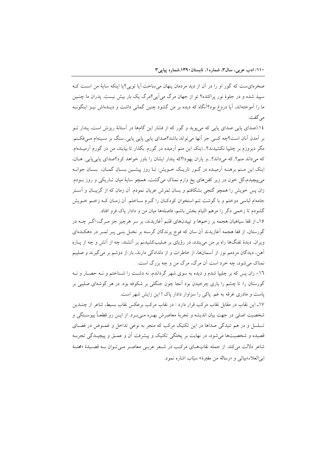صخرهای ست که گور او را در آن از دید مردمان پنهان می ساخت.آیا توپی؟یا اینکه سایهٔ من است ک سپید شده و در جلوهٔ نور پراکنده؟ تو از جهان مرگ می آیی؟مرگ یک بار بیش نیست. پدران ما چنــین ما را آموختهاند، آیا دروغ بود؟آنگاه که دیده بر من گشود چنین گمانی داشت و دیـدهاش نیــز اینگونــه مي گفت.

١٤.(صدای پایی صدای پایی که میپوید و گور که از فشار این گامها در آستانهٔ ریزش است، پندار تــو بر آمدن آنان است؟چه کسی جز آنها میتواند باشد؟صدای پایی پایی پایی سنگ بر سـینهام مـیفکـنم. مگر دیروزم بر چلیپا نکشیدند؟...اینک این منم آرمیده در گورم. بگذار تا بیایند، من در گورم آرمیــدهام. که می داند منم؟..که می داند؟...و یاران یهودا؟که پندار ایشان را باور خواهد کرد؟صدای پایی پایی. هــان، اینک این مـنم برهنـه آرمیـده در گـور تاریـک خـویش: تـا روز پیشـین بسـان گمـان، بسـان جوانـه میپیچیدم،گل خون در زیر کفنهای یخ وارم نمناک میگشت، همچو سایهٔ میان تـاریکی و روز بــودم. زان پس خویش را همچو گنجی بشکافتم و بسان ثمرش عریان نمودم. اَن زمان که از گریبـان و اَسـتر جامهام لباسی دوختم و با گوشت تنم استخوان کودکان را گـرم سـاختم. آن زمـان کـه زخـم خـویش گشودم تا زخمی دگر را مرهم التیام بخش باشم، فاصلهها میان من و دادار یاک فرو افتاد.

۱۵ـ از قفا سپاهیان هجمه بر زخمها و تپیدنهای قلبم آغازیدند، بر سر هرچیز جز مـرگ، اگـر چــه در گورستان، از قفا هجمه آغازیدند آن سان که فوج پرندگان گرسنه بر نخـل بنـی پــر ثمــر در دهکــدهای ویران. دیدهٔ تفنگها راه بر من میبنده، در رؤیای بر صلیبکشیدنم بر آتشند، چه از آتش و چه از پــاره آهن، دیدگان مردمم نور از آسمانها، از خاطرات و از دلدادگی دارند، بار از دوشم بر میگیرند و صلیبم نمناک می شود، چه خرد است آن مرگ، مرگ من و چه بزرگ است.

۱٦- زان پس که بر چلیپا شدم و دیده به سوی شهر گرداندم، نه دشت را شـناختم و نـه حصـار و نـه گورستان را: تا چشم را یاری چرخیدن بود اَنجا چون جنگلی بر شکوفه بود. در هر گوشهای صلیبی بر یاست و مادری غرقه به غم. یاکی را سزاوار دادار یاک ! این زایش شهر است.

۱۷ـ این نقاب در مقابل نقاب مرکب قرار دارد : در نقاب مرکب برعکس نقاب بسیط، شاعر از چنــدین شخصیت اصلی در جهت بیان اندیشه و تجربهٔ معاصرش بهـره مـی.بـرد. از ایــن رو قطعــاً پیوســتگی و تسلسل و در هم تنیدگی صداها در این تکنیک مرکب که منجر به نوعی تداخل و غمـوض در فضـای قصیده و شخصیتها میشود، در نهایت بر پختگی تکنیک و پیشرفت آن و عمـق و پیچیـدگی تجربـه شاعر دلالت می کند. از جمله نقابهای مرکب در شعر عربی معاصر می توان بـه قصـیدهٔ «محنـة ابي العلاء»بياتي و «رسالة من مقبرة» سيّاب اشاره نمود.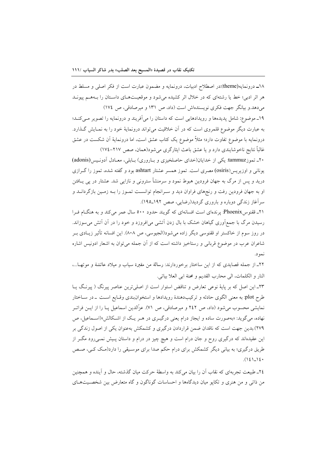۱۸ـ درونمایه(theme):در اصطلاح ادبیات، درونمایه و مضمون عبارت است از فکر اصلی و مسلط در هر اثر ادبی؛ خط یا رشتهای که در خلال اثر کشیده می شود و موقعیتهای داستان را بـههـم یپونـد میدهد.و بیانگر جهت فکری نویسندهاش است (داد، ص ۱۳۱ و میرصادقی، ص ١٧٤)

۱۹ـ موضوع: شامل پدیدهها و رویدادهایی است که داستان را میآفریند و درونمایه را تصویر مـیکنـد؛ به عبارت دیگر موضوع قلمروی است که در آن خلاقیت میتواند درونمایهٔ خود را به نمـایش گـذارد. درونمايه با موضوع تفاوت دارد؛ مثلاً موضوع يک کتاب عشق است، اما درونمايهٔ اَن شکست در عشق غالباً نتايج ناخوشايندي دارد و يا عشق باعث ايثارگري مي شود(همان، صص ٢١٧-١٧٤)

۲۰\_ تموزtammuz؛ یکی از خدایان(خدای حاصلخیزی و باروری) بـابلی، معـادل آدونـیس(adonis) یونانی و اوزیریس(osiris) مصری است. تموز همسر عشتار ashtart بود و گفته شده، تموز را گـرازی درید و پس از مرگ به جهان فرودین هبوط نمود و سرمنشأ سترونی و نازایی شد. عشتار در پی یــافتن او به جهان فرودین رفت و رنجهای فراوان دید و سـرانجام توانسـت تمـوز را بـه زمـین بازگردانــد و سرآغاز زندگی دوباره و باروری گردید(رضایی، صص ۱۹۲\_۱۹۵).

۲۱ـ ققنوسPhoenix پرندهای است افسانهای که گویند حدود ۵۰۰ سال عمر میکند و به هنگام فـرا رسیدن مرگ با جمع[وری گیاهان خشک با بال زدن اَتشی می|فروزد و خود را در اَن اَتش می سوزاند. در روز سوم از خاکستر او ققنوسی دیگر زاده می شود(الجیوسی، ص ۸۰۸). این افسانه تأثیر زیــادی بــر شاعران عرب در موضوع قربانی و رستاخیز داشته است که از آن جمله می توان به اشعار ادونیس اشاره نمود.

٢٢\_ از جمله قصايدي كه از اين ساختار برخوردارند: رسالة من مقبرة سياب و ميلاد عائشة و موتهـا...، النار و الكلمات، الى محارب القديم و محنة ابي العلا بياتي.

٢٣ـ اين اصل كه بر پايهٔ نوعي تعارض و تناقض استوار است از اصلي ترين عناصر پيرنگ ( پيرنگ يــا طرح plot: به معنى الگوى حادثه و تركيبدهندهٔ رويدادها و استخوانبندى وقـايع اسـت \_در سـاختار نمایشی محسوب میشود (داد، ص ۲٤۲ و میرصادقی، ص ۷۱). عزَّالدین اسماعیل پـا را از ایــن فراتــر نهاده، میگوید: «بهصورت ساده و ایجاز درام یعنی درگیـری در هـر یـک از اشـکالش»(اسـماعیل، ص ۲۷۹).بدین جهت است که ناقدان ضمن قراردادن درگیری و کشمکش بهعنوان یکی از اصول زندگی بر این عقیدهاند که درگیری روح و جان درام است و هیچ چیز در درام و داستان پـیش نمــی(ود مگــر از طریق درگیری؛ به بیانی دیگر کشمکش برای درام حکم صدا برای موسـیقی را دارد(مـک کـی، صـص  $(121)$ 

٢٤ـ طبیعت تجربهای که نقاب آن را بیان میکند به واسطهٔ حرکت میان گذشته، حال و آینده و همچنین من ذاتمی و من هنری و تکاپو میان دیدگاهها و احساسات گوناگون و گاه متعارض بین شخصـیتهـای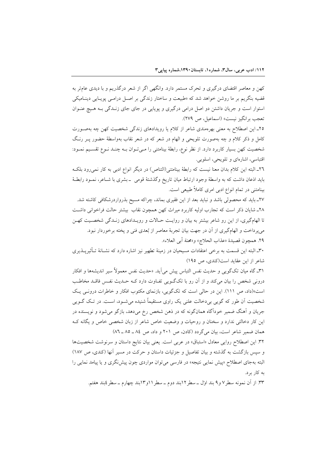کهن و معاصر اقتضای درگیری و تحرک مستمر دارد. وانگهی اگر از شعر درگذریم و با دیدی عامتر به قضیه بنگریم بر ما روشن خواهد شد که «طبیعت و ساختار زندگی بر اصـل درامـبی پویـایی دینـامیکی استوار است و جریان داشتن دو اصل درامی درگیری و یوپایی در جای جای زنــدگی بــه هـیچ عنــوان تعجب برانگيز نيست» (اسماعيل، ص ٢٧٩).

۲۵\_ این اصطلاح به معنی بهرهمندی شاعر از کلام یا رویدادهای زندگی شخصیت کهن چه بهصورت کامل و ذکر کلام و چه بهصورت تلویحی و الهام در شعر که در شعر نقاب بهواسطهٔ حضور پـر رنـگ شخصیت کهن بسیار کاربرد دارد. از نظر نوع، رابطهٔ بینامتنی را مـیتوان بــه چنــد نــوع تقســیم نمــود: اقتباسي، اشارهاي و تلويحي، اسلوبي.

٢٦ـ البته اين كلام بدان معنا نيست كه رابطة بينامتني(التناص) در ديگر انواع ادبي به كار نمي رود بلكه بايد اذعان داشت كه به واسطة وجود ارتباط ميان تاريخ وگذشتهٔ قومي \_ بشرى با شـاعر، نمـود رابطـهٔ بینامتنی در تمام انواع ادبی امری کاملاً طبیعی است.

٢٧ـ بايد كه محصولي باشد و نبايد بعد از اين فقيرى بماند، چراكه مسيح بذرواردرشكافي كاشته شد. ٢٨ـ شايان ذكر است كه تجارب اوليه كاربرد ميراث كهن همچون نقاب بيشتر حالت فراخواني داشت تا الهامگیری، از این رو شاعر بیشتر به بیان و روایت حـالات و رویـدادهای زنـدگی شخصـیت کهـن می پرداخت و الهامگیری از آن در جهت بیان تجربهٔ معاصر از بُعدی فنی و پخته برخوردار نبود. ٢٩. همچون قصيدة «عذاب الحلاج» و«محنة أبي العلاء».

٣٠ـ البته اين قسمت به برخي اعتقادات مسيحيان در زمينهٔ تطهير نيز اشاره دارد كه نشــانهٔ تــأثيرپــذيري شاعر از این عقاید است(کندی، ص ١٩٥)

٣١ـ گاه ميان تکگويـي و حديث نفس التباس پيش مي]يد. «حديث نفس معمولاً سير انديشهها و افکار درونی شخص را بیان می کند و از آن رو با تکگویی تفـاوت دارد کـه حـدیث نفـس فاقـد مخاطـب است»(داد، ص ١١١). این در حالی است که تکگویی، بازنمای مکتوب افکار و خاطرات درونی یک شخصیت آن طور که گویی بی دخالت علنی یک راوی مستقیماً شنیده می شـود، اسـت. در تـک گـویی جریان و آهنگ ضمیر خودآگاه همانگونه که در ذهن شخص رخ می<mark>دهد، بازگو میشود و نویسنده در</mark> این کار دخالتی ندارد و سخنان و روحیات و وضعیت خاص شاعر از زبان شخصی خاص و یگانه ک همان ضمیر شاعر است، بیان می گردد (کادن، ص ۲۰۱ و داد، ص ۸٤ ـ ٨٥ ـ ٨٦)

۳۲. این اصطلاح روایی معادل «استباق» در عربی است. یعنی بیان نتایج داستان و سرنوشت شخصیتها و سپس بازگشت به گذشته و بیان تفاصیل و جزئیات داستان و حرکت در مسیر آنها (کندی، ص ۱۸۷) البته بهجای اصطلاح «پیش نمای<sub>ی</sub> نتیجه» در فارسی میتوان مواردی چون پیشنگری و یا پیامد نمایی را به کار بر د.

٣٣. از اّن نمونه سطر٧ و٩ بند اول \_سطر ١٢بند دوم \_سطر ١١و١٣بند چهارم \_سطر ٤بند هفتم.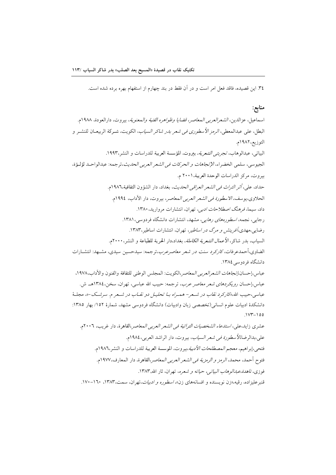٣٤. اين قصيده، فاقد فعل امر است و در آن فقط در بند چهارم از استفهام بهره برده شده است.

#### منابع:

اسماعيل، عزالدين، *الشعرالعربي المعاصر، قضايا وظواهره الفنية والمعنوية*، بيروت، دارالعودة، ١٩٨٨م. البطل، على عبدالمعطى، *الرمز الأسطوري في شعر بدر شاكر السياب*، الكويت، شـركة الربيعـان للنشـر و التوزيع، ١٩٨٢م. البياتي، عبدالوهاب، *تجربتي الشعرية،* بيروت، المؤسسة العربية للدراسات و النشر،١٩٩٣. الجيوسي، سلمي الخضر اء، *الإتجاهات و الحركات في الشعر العربي الحديث*،تر جمه: عبدالو احـد لؤلـؤة، بيروت، مركز الدراسات الوحدة العربية،٢٠٠١ م. حداد، علي، *أثر التراث في الشعر العراقي الحديث*، بغداد، دار الشؤون الثقافية،١٩٨٦م. الحلاوي،يوسف، *الاسطورة في الشعر العربي المعاصر*، بيروت، دار الأداب، ١٩٩٤م. داد، سیما، *فرهنگ اصطلاحات ادبی،* تهران، انتشارات مروارید، ۱۳۸۰. رجایی، نجمه، *اسطورههای رهایی*، مشهد، انتشارات دانشگاه فردوسی، ۱۳۸۱. رضایی،مهدی،*آفرینش و مرگ در اساطیر،* تهران، انتشارات اساطیر،۱۳۸۳. السياب، بدر شاكر، *الأعمال الشعرية الكاملة*، بغداد،دار الحرية للطباعة و النشر، ٢٠٠٠م. الضاوی،أحمدعرفات، *کارک*رد *سنت در شعر معاصرعرب*،ترجمه: سیدحسین سیدی، مشـهد: انتشــارات دانشگاه فر دوسی ۱۳۸٤. عباس،إحسان*،إتجاهات الشعرالعربي المعاصر*،الكويت: المجلس الوطني للثقافة والفنون والآداب،١٩٧٨، عباس،إحسان رويكردهاى شعر معاصر عرب، ترجمه: حبيب الله عباسى، تهران، سخن،١٣٨٤هــ ش. عباسي،حبيب الله،«كاركرد نقاب در شـعر– هـمـراه بــا تحليـل دو نقــاب در شــعر م. سرشــک-»، مجلــهٔ دانشکدهٔ ادبیات علوم انسانی(تخصصی زبان وادبیات) دانشگاه فردوسی مشهد، شمارهٔ ۱۵۲/ بهار ۱۳۸۵:  $100 - 100$ عشري زايد،علي، *استدعاء الشخصيات التراثية في الشعر العربي المعاص*ر ،القاهرة، دار غريب، ٢٠٠٦م. على،بدالرضا،⁄لأسط*ورة في شعر السياب*، بيروت، دار الراشد العربي،١٩٨٤م. فتحي،إبراهيم، *معجم المصطلحات الأدبية*،بيروت، الموسسة العربية للدراسات و النشر،١٩٨٦م. فتوح أحمد، محمد، *الرمز و الرمزية في الشعر العربي المعاصر*،القاهرة، دار المعارف،١٩٧٧م. فوزي، *ناهدة،عبدالوهاب البياتي، حياته و شعره*، تهران، ثار الله,١٣٨٣. قنبر علیزاده، رقیه،«زن نویسنده و افسانههای زن»، *اسطوره و ادبیات*،تهران، سمت،۱۳۸۳، ۱۲۰-۱۷۰.